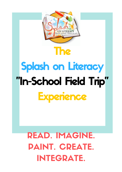



# READ. IMAGINE. PAINT. CREATE. INTEGRATE.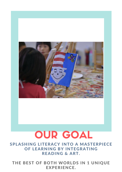

# OUR GOAL

#### SPLASHING LITERACY INTO A MASTERPIECE OF LEARNING BY INTEGRATING READING & ART.

#### THE BEST OF BOTH WORLDS IN 1 UNIQUE EXPERIENCE.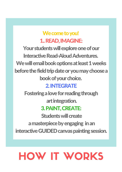We come to you! 1. READ, IMAGINE: Your students will explore one of our Interactive Read-Aloud Adventures. We will email book options at least 1 weeks before the field trip date or you may choose a book of your choice. 2. INTEGRATE

Fostering a love for reading through art integration. 3. PAINT, CREATE: **Students will create** a masterpiece by engaging in an interactive GUIDED canvas painting session.

### HOW IT WORKS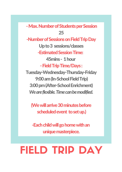- Max. Number of Students per Session 25 -Number of Sessions on Field Trip Day Upto3 sessions/classes -Estimated Session Time: 45mins- 1hour - Field Trip Time/Days: Tuesday-Wednesday-Thursday-Friday 9:00 am (In-School Field Trip) 3:00pm(After-SchoolEnrichment)

(Wewillarrive30minutesbefore scheduled event to set up.)

-Each child will go home with an unique masterpiece.

*Weareflexible.Timecanbemodified.*

# FIELD TRIP DAY